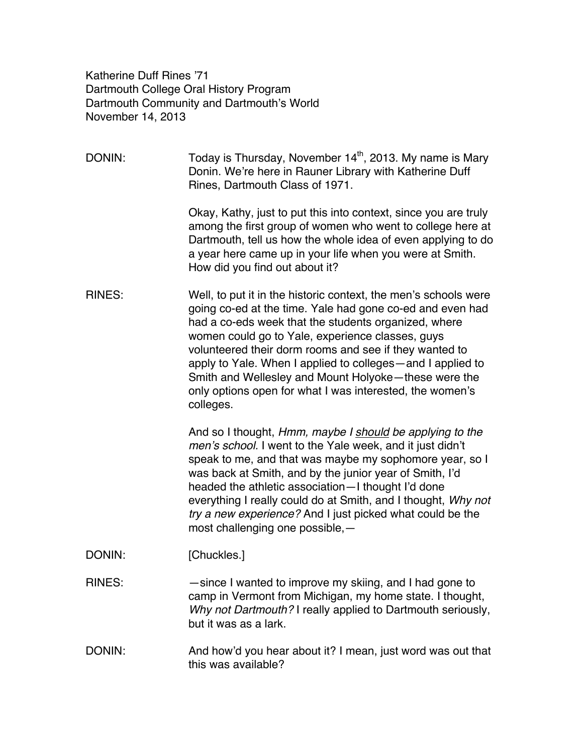Katherine Duff Rines '71 Dartmouth College Oral History Program Dartmouth Community and Dartmouth's World November 14, 2013

DONIN: Today is Thursday, November  $14<sup>th</sup>$ , 2013. My name is Mary Donin. We're here in Rauner Library with Katherine Duff Rines, Dartmouth Class of 1971. Okay, Kathy, just to put this into context, since you are truly among the first group of women who went to college here at Dartmouth, tell us how the whole idea of even applying to do a year here came up in your life when you were at Smith. How did you find out about it? RINES: Well, to put it in the historic context, the men's schools were going co-ed at the time. Yale had gone co-ed and even had had a co-eds week that the students organized, where women could go to Yale, experience classes, guys volunteered their dorm rooms and see if they wanted to apply to Yale. When I applied to colleges—and I applied to Smith and Wellesley and Mount Holyoke—these were the only options open for what I was interested, the women's colleges. And so I thought, *Hmm, maybe I should be applying to the men's school.* I went to the Yale week, and it just didn't speak to me, and that was maybe my sophomore year, so I was back at Smith, and by the junior year of Smith, I'd headed the athletic association—I thought I'd done everything I really could do at Smith, and I thought, *Why not try a new experience?* And I just picked what could be the most challenging one possible,— DONIN: [Chuckles.] RINES: — — since I wanted to improve my skiing, and I had gone to camp in Vermont from Michigan, my home state. I thought, *Why not Dartmouth?* I really applied to Dartmouth seriously, but it was as a lark. DONIN: And how'd you hear about it? I mean, just word was out that this was available?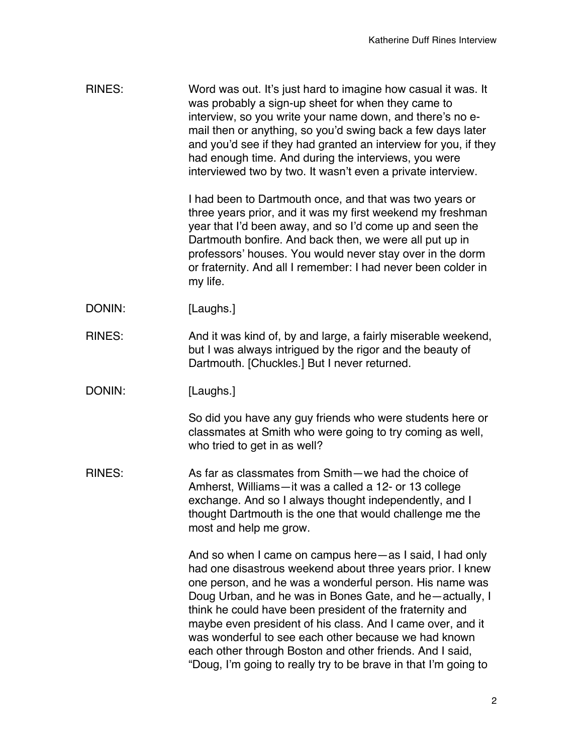| <b>RINES:</b> | Word was out. It's just hard to imagine how casual it was. It<br>was probably a sign-up sheet for when they came to<br>interview, so you write your name down, and there's no e-<br>mail then or anything, so you'd swing back a few days later<br>and you'd see if they had granted an interview for you, if they<br>had enough time. And during the interviews, you were<br>interviewed two by two. It wasn't even a private interview.                                                                                                                     |
|---------------|---------------------------------------------------------------------------------------------------------------------------------------------------------------------------------------------------------------------------------------------------------------------------------------------------------------------------------------------------------------------------------------------------------------------------------------------------------------------------------------------------------------------------------------------------------------|
|               | I had been to Dartmouth once, and that was two years or<br>three years prior, and it was my first weekend my freshman<br>year that I'd been away, and so I'd come up and seen the<br>Dartmouth bonfire. And back then, we were all put up in<br>professors' houses. You would never stay over in the dorm<br>or fraternity. And all I remember: I had never been colder in<br>my life.                                                                                                                                                                        |
| DONIN:        | [Laughs.]                                                                                                                                                                                                                                                                                                                                                                                                                                                                                                                                                     |
| <b>RINES:</b> | And it was kind of, by and large, a fairly miserable weekend,<br>but I was always intrigued by the rigor and the beauty of<br>Dartmouth. [Chuckles.] But I never returned.                                                                                                                                                                                                                                                                                                                                                                                    |
| DONIN:        | [Laughs.]                                                                                                                                                                                                                                                                                                                                                                                                                                                                                                                                                     |
|               | So did you have any guy friends who were students here or<br>classmates at Smith who were going to try coming as well,<br>who tried to get in as well?                                                                                                                                                                                                                                                                                                                                                                                                        |
| <b>RINES:</b> | As far as classmates from Smith-we had the choice of<br>Amherst, Williams-it was a called a 12- or 13 college<br>exchange. And so I always thought independently, and I<br>thought Dartmouth is the one that would challenge me the<br>most and help me grow.                                                                                                                                                                                                                                                                                                 |
|               | And so when I came on campus here—as I said, I had only<br>had one disastrous weekend about three years prior. I knew<br>one person, and he was a wonderful person. His name was<br>Doug Urban, and he was in Bones Gate, and he-actually, I<br>think he could have been president of the fraternity and<br>maybe even president of his class. And I came over, and it<br>was wonderful to see each other because we had known<br>each other through Boston and other friends. And I said,<br>"Doug, I'm going to really try to be brave in that I'm going to |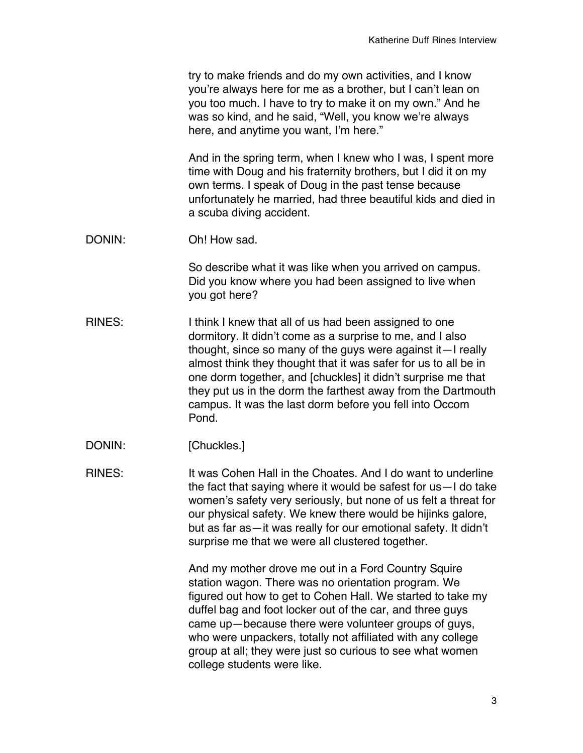|        | try to make friends and do my own activities, and I know<br>you're always here for me as a brother, but I can't lean on<br>you too much. I have to try to make it on my own." And he<br>was so kind, and he said, "Well, you know we're always<br>here, and anytime you want, I'm here."                                                                                                                                                                  |
|--------|-----------------------------------------------------------------------------------------------------------------------------------------------------------------------------------------------------------------------------------------------------------------------------------------------------------------------------------------------------------------------------------------------------------------------------------------------------------|
|        | And in the spring term, when I knew who I was, I spent more<br>time with Doug and his fraternity brothers, but I did it on my<br>own terms. I speak of Doug in the past tense because<br>unfortunately he married, had three beautiful kids and died in<br>a scuba diving accident.                                                                                                                                                                       |
| DONIN: | Oh! How sad.                                                                                                                                                                                                                                                                                                                                                                                                                                              |
|        | So describe what it was like when you arrived on campus.<br>Did you know where you had been assigned to live when<br>you got here?                                                                                                                                                                                                                                                                                                                        |
| RINES: | I think I knew that all of us had been assigned to one<br>dormitory. It didn't come as a surprise to me, and I also<br>thought, since so many of the guys were against it—I really<br>almost think they thought that it was safer for us to all be in<br>one dorm together, and [chuckles] it didn't surprise me that<br>they put us in the dorm the farthest away from the Dartmouth<br>campus. It was the last dorm before you fell into Occom<br>Pond. |
| DONIN: | [Chuckles.]                                                                                                                                                                                                                                                                                                                                                                                                                                               |
| RINES: | It was Cohen Hall in the Choates. And I do want to underline<br>the fact that saying where it would be safest for us-I do take<br>women's safety very seriously, but none of us felt a threat for<br>our physical safety. We knew there would be hijinks galore,<br>but as far as-it was really for our emotional safety. It didn't<br>surprise me that we were all clustered together.                                                                   |
|        | And my mother drove me out in a Ford Country Squire<br>station wagon. There was no orientation program. We<br>figured out how to get to Cohen Hall. We started to take my<br>duffel bag and foot locker out of the car, and three guys<br>came up-because there were volunteer groups of guys,<br>who were unpackers, totally not affiliated with any college<br>group at all; they were just so curious to see what women<br>college students were like. |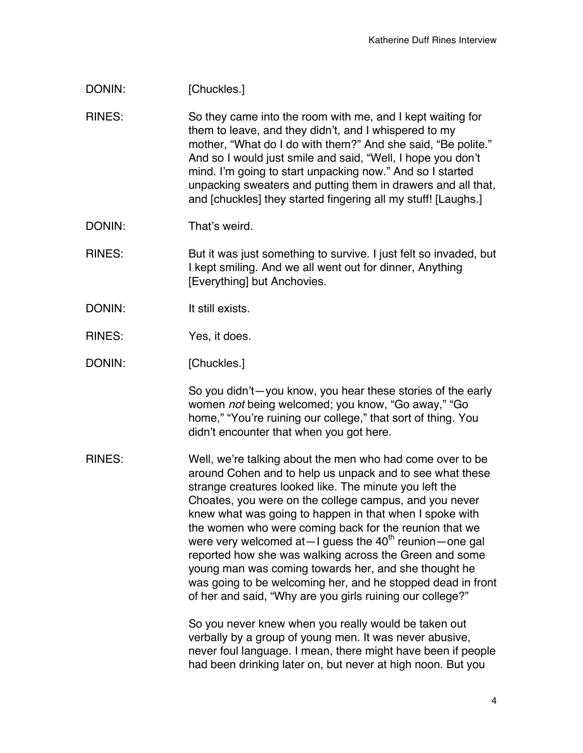## DONIN: [Chuckles.]

RINES: So they came into the room with me, and I kept waiting for them to leave, and they didn't, and I whispered to my mother, "What do I do with them?" And she said, "Be polite." And so I would just smile and said, "Well, I hope you don't mind. I'm going to start unpacking now." And so I started unpacking sweaters and putting them in drawers and all that, and [chuckles] they started fingering all my stuff! [Laughs.]

DONIN: That's weird.

RINES: But it was just something to survive. I just felt so invaded, but I kept smiling. And we all went out for dinner, Anything [Everything] but Anchovies.

- DONIN: It still exists.
- RINES: Yes, it does.
- DONIN: [Chuckles.]

So you didn't—you know, you hear these stories of the early women *not* being welcomed; you know, "Go away," "Go home," "You're ruining our college," that sort of thing. You didn't encounter that when you got here.

RINES: Well, we're talking about the men who had come over to be around Cohen and to help us unpack and to see what these strange creatures looked like. The minute you left the Choates, you were on the college campus, and you never knew what was going to happen in that when I spoke with the women who were coming back for the reunion that we were very welcomed at  $-1$  quess the 40<sup>th</sup> reunion – one gal reported how she was walking across the Green and some young man was coming towards her, and she thought he was going to be welcoming her, and he stopped dead in front of her and said, "Why are you girls ruining our college?"

> So you never knew when you really would be taken out verbally by a group of young men. It was never abusive, never foul language. I mean, there might have been if people had been drinking later on, but never at high noon. But you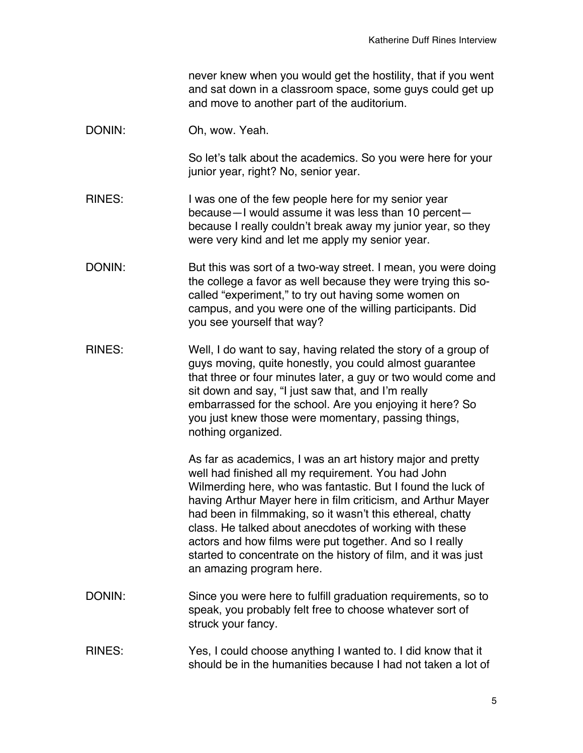never knew when you would get the hostility, that if you went and sat down in a classroom space, some guys could get up and move to another part of the auditorium.

DONIN: Oh, wow. Yeah.

So let's talk about the academics. So you were here for your junior year, right? No, senior year.

- RINES: I was one of the few people here for my senior year because—I would assume it was less than 10 percent because I really couldn't break away my junior year, so they were very kind and let me apply my senior year.
- DONIN: But this was sort of a two-way street. I mean, you were doing the college a favor as well because they were trying this socalled "experiment," to try out having some women on campus, and you were one of the willing participants. Did you see yourself that way?
- RINES: Well, I do want to say, having related the story of a group of guys moving, quite honestly, you could almost guarantee that three or four minutes later, a guy or two would come and sit down and say, "I just saw that, and I'm really embarrassed for the school. Are you enjoying it here? So you just knew those were momentary, passing things, nothing organized.

As far as academics, I was an art history major and pretty well had finished all my requirement. You had John Wilmerding here, who was fantastic. But I found the luck of having Arthur Mayer here in film criticism, and Arthur Mayer had been in filmmaking, so it wasn't this ethereal, chatty class. He talked about anecdotes of working with these actors and how films were put together. And so I really started to concentrate on the history of film, and it was just an amazing program here.

- DONIN: Since you were here to fulfill graduation requirements, so to speak, you probably felt free to choose whatever sort of struck your fancy.
- RINES: Yes, I could choose anything I wanted to. I did know that it should be in the humanities because I had not taken a lot of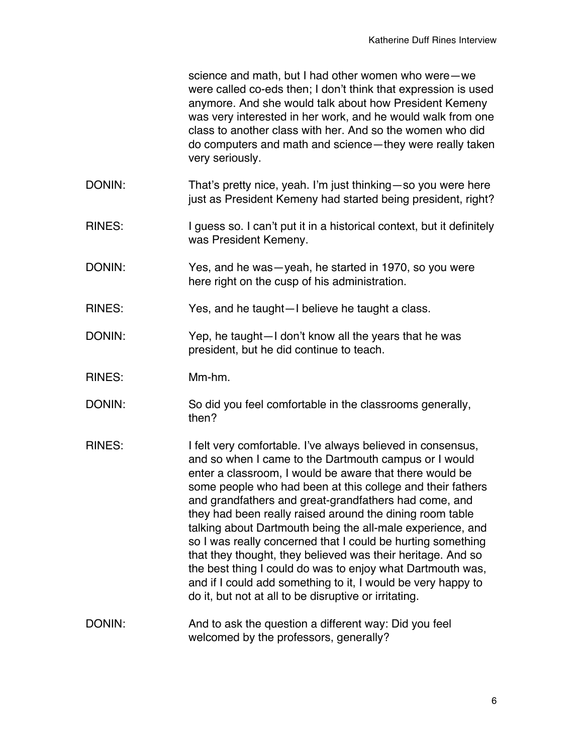science and math, but I had other women who were—we were called co-eds then; I don't think that expression is used anymore. And she would talk about how President Kemeny was very interested in her work, and he would walk from one class to another class with her. And so the women who did do computers and math and science—they were really taken very seriously.

- DONIN: That's pretty nice, yeah. I'm just thinking—so you were here just as President Kemeny had started being president, right?
- RINES: I guess so. I can't put it in a historical context, but it definitely was President Kemeny.
- DONIN: Yes, and he was—yeah, he started in 1970, so you were here right on the cusp of his administration.
- RINES: Yes, and he taught—I believe he taught a class.
- DONIN: Yep, he taught—I don't know all the years that he was president, but he did continue to teach.
- RINES: Mm-hm.
- DONIN: So did you feel comfortable in the classrooms generally, then?
- RINES: I felt very comfortable. I've always believed in consensus, and so when I came to the Dartmouth campus or I would enter a classroom, I would be aware that there would be some people who had been at this college and their fathers and grandfathers and great-grandfathers had come, and they had been really raised around the dining room table talking about Dartmouth being the all-male experience, and so I was really concerned that I could be hurting something that they thought, they believed was their heritage. And so the best thing I could do was to enjoy what Dartmouth was, and if I could add something to it, I would be very happy to do it, but not at all to be disruptive or irritating.
- DONIN: And to ask the question a different way: Did you feel welcomed by the professors, generally?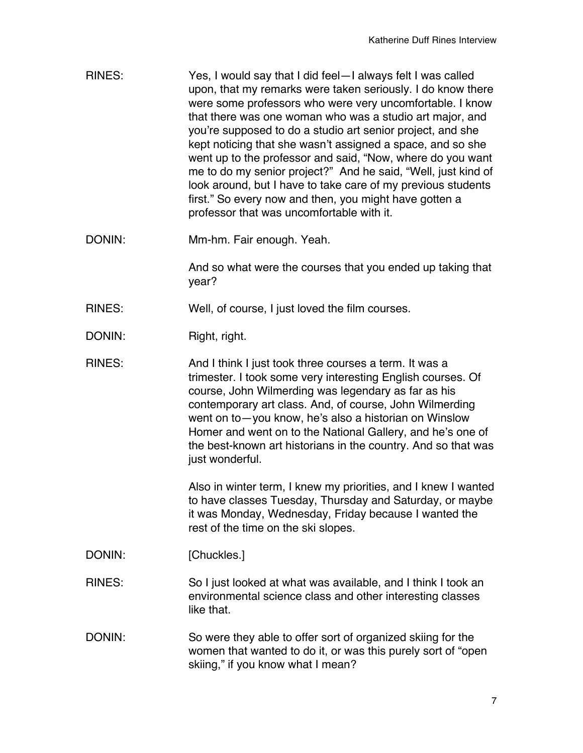- RINES: Yes, I would say that I did feel—I always felt I was called upon, that my remarks were taken seriously. I do know there were some professors who were very uncomfortable. I know that there was one woman who was a studio art major, and you're supposed to do a studio art senior project, and she kept noticing that she wasn't assigned a space, and so she went up to the professor and said, "Now, where do you want me to do my senior project?" And he said, "Well, just kind of look around, but I have to take care of my previous students first." So every now and then, you might have gotten a professor that was uncomfortable with it.
- DONIN: Mm-hm. Fair enough. Yeah.

And so what were the courses that you ended up taking that year?

- RINES: Well, of course, I just loved the film courses.
- DONIN: Right, right.
- RINES: And I think I just took three courses a term. It was a trimester. I took some very interesting English courses. Of course, John Wilmerding was legendary as far as his contemporary art class. And, of course, John Wilmerding went on to—you know, he's also a historian on Winslow Homer and went on to the National Gallery, and he's one of the best-known art historians in the country. And so that was just wonderful.

Also in winter term, I knew my priorities, and I knew I wanted to have classes Tuesday, Thursday and Saturday, or maybe it was Monday, Wednesday, Friday because I wanted the rest of the time on the ski slopes.

- DONIN: [Chuckles.]
- RINES: So I just looked at what was available, and I think I took an environmental science class and other interesting classes like that.
- DONIN: So were they able to offer sort of organized skiing for the women that wanted to do it, or was this purely sort of "open skiing," if you know what I mean?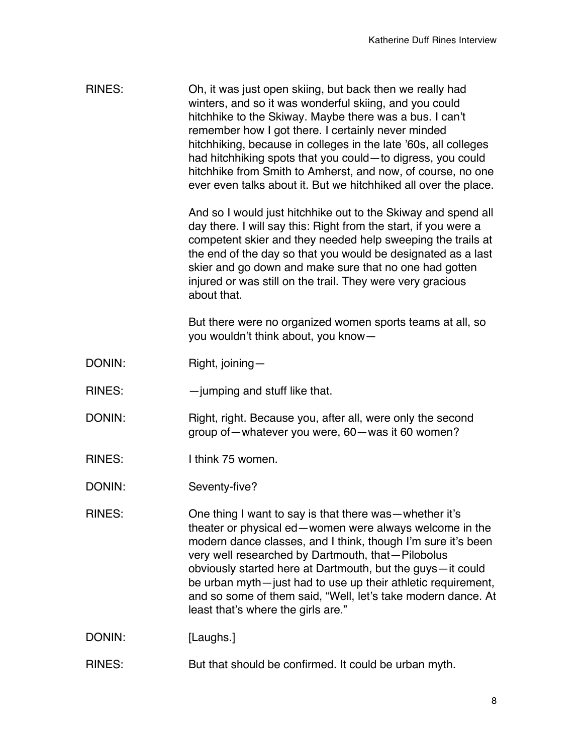| <b>RINES:</b> | Oh, it was just open skiing, but back then we really had<br>winters, and so it was wonderful skiing, and you could<br>hitchhike to the Skiway. Maybe there was a bus. I can't<br>remember how I got there. I certainly never minded<br>hitchhiking, because in colleges in the late '60s, all colleges<br>had hitchhiking spots that you could-to digress, you could<br>hitchhike from Smith to Amherst, and now, of course, no one<br>ever even talks about it. But we hitchhiked all over the place.<br>And so I would just hitchhike out to the Skiway and spend all<br>day there. I will say this: Right from the start, if you were a<br>competent skier and they needed help sweeping the trails at<br>the end of the day so that you would be designated as a last<br>skier and go down and make sure that no one had gotten<br>injured or was still on the trail. They were very gracious<br>about that. |
|---------------|------------------------------------------------------------------------------------------------------------------------------------------------------------------------------------------------------------------------------------------------------------------------------------------------------------------------------------------------------------------------------------------------------------------------------------------------------------------------------------------------------------------------------------------------------------------------------------------------------------------------------------------------------------------------------------------------------------------------------------------------------------------------------------------------------------------------------------------------------------------------------------------------------------------|
|               | But there were no organized women sports teams at all, so<br>you wouldn't think about, you know-                                                                                                                                                                                                                                                                                                                                                                                                                                                                                                                                                                                                                                                                                                                                                                                                                 |
| DONIN:        | Right, joining-                                                                                                                                                                                                                                                                                                                                                                                                                                                                                                                                                                                                                                                                                                                                                                                                                                                                                                  |
| <b>RINES:</b> | -jumping and stuff like that.                                                                                                                                                                                                                                                                                                                                                                                                                                                                                                                                                                                                                                                                                                                                                                                                                                                                                    |
| DONIN:        | Right, right. Because you, after all, were only the second<br>group of - whatever you were, 60 - was it 60 women?                                                                                                                                                                                                                                                                                                                                                                                                                                                                                                                                                                                                                                                                                                                                                                                                |
| <b>RINES:</b> | I think 75 women.                                                                                                                                                                                                                                                                                                                                                                                                                                                                                                                                                                                                                                                                                                                                                                                                                                                                                                |
| DONIN:        | Seventy-five?                                                                                                                                                                                                                                                                                                                                                                                                                                                                                                                                                                                                                                                                                                                                                                                                                                                                                                    |
| <b>RINES:</b> | One thing I want to say is that there was-whether it's<br>theater or physical ed-women were always welcome in the<br>modern dance classes, and I think, though I'm sure it's been<br>very well researched by Dartmouth, that-Pilobolus<br>obviously started here at Dartmouth, but the guys-it could<br>be urban myth-just had to use up their athletic requirement,<br>and so some of them said, "Well, let's take modern dance. At<br>least that's where the girls are."                                                                                                                                                                                                                                                                                                                                                                                                                                       |
| DONIN:        | [Laughs.]                                                                                                                                                                                                                                                                                                                                                                                                                                                                                                                                                                                                                                                                                                                                                                                                                                                                                                        |
| <b>RINES:</b> | But that should be confirmed. It could be urban myth.                                                                                                                                                                                                                                                                                                                                                                                                                                                                                                                                                                                                                                                                                                                                                                                                                                                            |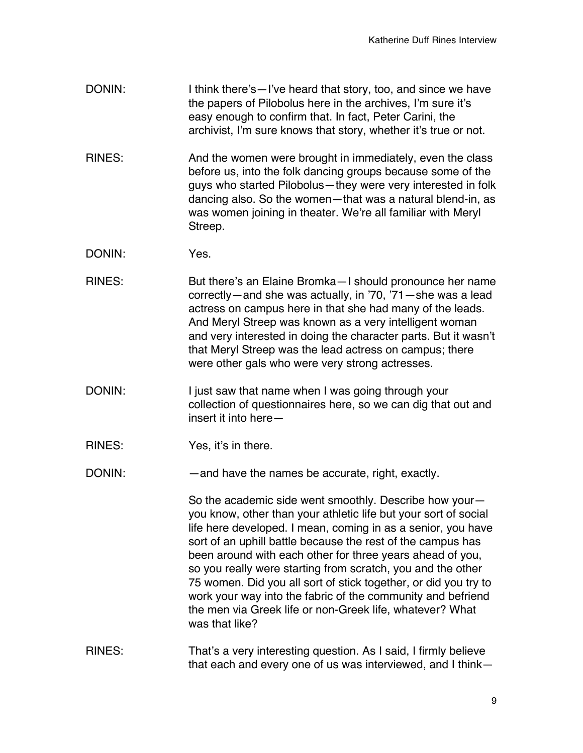- DONIN: I think there's—I've heard that story, too, and since we have the papers of Pilobolus here in the archives, I'm sure it's easy enough to confirm that. In fact, Peter Carini, the archivist, I'm sure knows that story, whether it's true or not.
- RINES: And the women were brought in immediately, even the class before us, into the folk dancing groups because some of the guys who started Pilobolus—they were very interested in folk dancing also. So the women—that was a natural blend-in, as was women joining in theater. We're all familiar with Meryl Streep.
- DONIN: Yes.
- RINES: But there's an Elaine Bromka—I should pronounce her name correctly—and she was actually, in '70, '71—she was a lead actress on campus here in that she had many of the leads. And Meryl Streep was known as a very intelligent woman and very interested in doing the character parts. But it wasn't that Meryl Streep was the lead actress on campus; there were other gals who were very strong actresses.
- DONIN: I just saw that name when I was going through your collection of questionnaires here, so we can dig that out and insert it into here—
- RINES: Yes, it's in there.
- DONIN: and have the names be accurate, right, exactly.

So the academic side went smoothly. Describe how your you know, other than your athletic life but your sort of social life here developed. I mean, coming in as a senior, you have sort of an uphill battle because the rest of the campus has been around with each other for three years ahead of you, so you really were starting from scratch, you and the other 75 women. Did you all sort of stick together, or did you try to work your way into the fabric of the community and befriend the men via Greek life or non-Greek life, whatever? What was that like?

RINES: That's a very interesting question. As I said, I firmly believe that each and every one of us was interviewed, and I think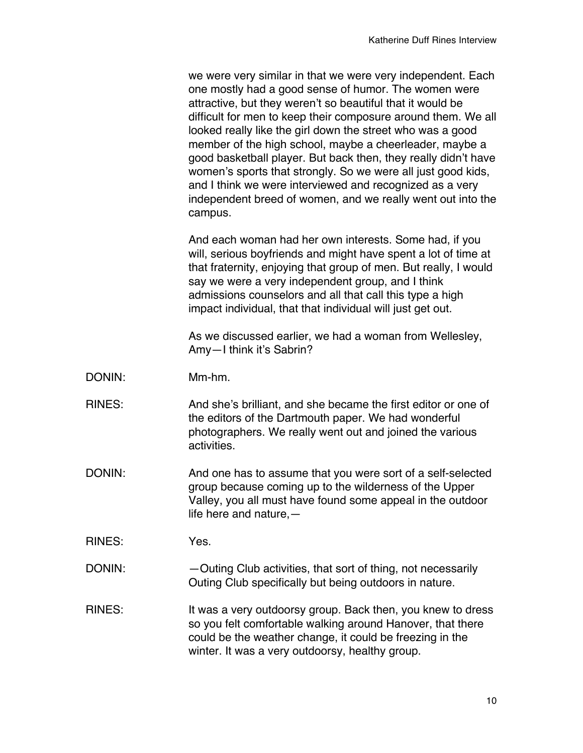we were very similar in that we were very independent. Each one mostly had a good sense of humor. The women were attractive, but they weren't so beautiful that it would be difficult for men to keep their composure around them. We all looked really like the girl down the street who was a good member of the high school, maybe a cheerleader, maybe a good basketball player. But back then, they really didn't have women's sports that strongly. So we were all just good kids, and I think we were interviewed and recognized as a very independent breed of women, and we really went out into the campus.

And each woman had her own interests. Some had, if you will, serious boyfriends and might have spent a lot of time at that fraternity, enjoying that group of men. But really, I would say we were a very independent group, and I think admissions counselors and all that call this type a high impact individual, that that individual will just get out.

As we discussed earlier, we had a woman from Wellesley, Amy—I think it's Sabrin?

- DONIN: Mm-hm.
- RINES: And she's brilliant, and she became the first editor or one of the editors of the Dartmouth paper. We had wonderful photographers. We really went out and joined the various activities.
- DONIN: And one has to assume that you were sort of a self-selected group because coming up to the wilderness of the Upper Valley, you all must have found some appeal in the outdoor life here and nature,—

RINES: Yes.

DONIN: — — — Outing Club activities, that sort of thing, not necessarily Outing Club specifically but being outdoors in nature.

RINES: It was a very outdoorsy group. Back then, you knew to dress so you felt comfortable walking around Hanover, that there could be the weather change, it could be freezing in the winter. It was a very outdoorsy, healthy group.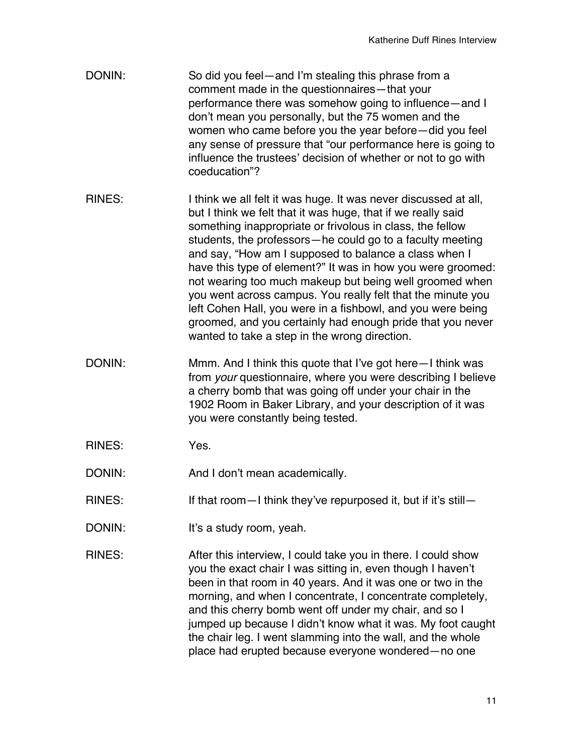- DONIN: So did you feel—and I'm stealing this phrase from a comment made in the questionnaires—that your performance there was somehow going to influence—and I don't mean you personally, but the 75 women and the women who came before you the year before—did you feel any sense of pressure that "our performance here is going to influence the trustees' decision of whether or not to go with coeducation"?
- RINES: I think we all felt it was huge. It was never discussed at all, but I think we felt that it was huge, that if we really said something inappropriate or frivolous in class, the fellow students, the professors—he could go to a faculty meeting and say, "How am I supposed to balance a class when I have this type of element?" It was in how you were groomed: not wearing too much makeup but being well groomed when you went across campus. You really felt that the minute you left Cohen Hall, you were in a fishbowl, and you were being groomed, and you certainly had enough pride that you never wanted to take a step in the wrong direction.
- DONIN: Mmm. And I think this quote that I've got here—I think was from *your* questionnaire, where you were describing I believe a cherry bomb that was going off under your chair in the 1902 Room in Baker Library, and your description of it was you were constantly being tested.
- RINES: Yes.
- DONIN: And I don't mean academically.
- RINES: If that room—I think they've repurposed it, but if it's still—
- DONIN: It's a study room, yeah.
- RINES: After this interview, I could take you in there. I could show you the exact chair I was sitting in, even though I haven't been in that room in 40 years. And it was one or two in the morning, and when I concentrate, I concentrate completely, and this cherry bomb went off under my chair, and so I jumped up because I didn't know what it was. My foot caught the chair leg. I went slamming into the wall, and the whole place had erupted because everyone wondered—no one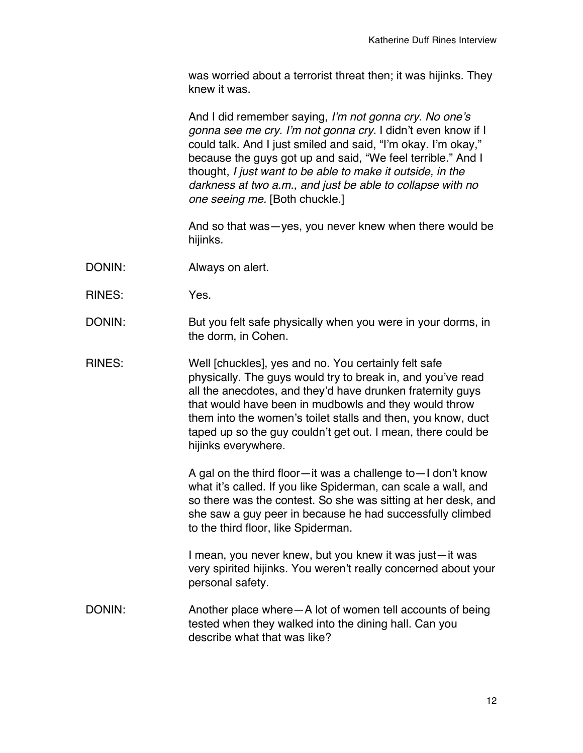was worried about a terrorist threat then; it was hijinks. They knew it was.

And I did remember saying, *I'm not gonna cry. No one's gonna see me cry. I'm not gonna cry.* I didn't even know if I could talk. And I just smiled and said, "I'm okay. I'm okay," because the guys got up and said, "We feel terrible." And I thought, *I just want to be able to make it outside, in the darkness at two a.m., and just be able to collapse with no one seeing me.* [Both chuckle.]

And so that was—yes, you never knew when there would be hijinks.

- DONIN: Always on alert.
- RINES: Yes.
- DONIN: But you felt safe physically when you were in your dorms, in the dorm, in Cohen.
- RINES: Well [chuckles], yes and no. You certainly felt safe physically. The guys would try to break in, and you've read all the anecdotes, and they'd have drunken fraternity guys that would have been in mudbowls and they would throw them into the women's toilet stalls and then, you know, duct taped up so the guy couldn't get out. I mean, there could be hijinks everywhere.

A gal on the third floor—it was a challenge to—I don't know what it's called. If you like Spiderman, can scale a wall, and so there was the contest. So she was sitting at her desk, and she saw a guy peer in because he had successfully climbed to the third floor, like Spiderman.

I mean, you never knew, but you knew it was just—it was very spirited hijinks. You weren't really concerned about your personal safety.

DONIN: Another place where—A lot of women tell accounts of being tested when they walked into the dining hall. Can you describe what that was like?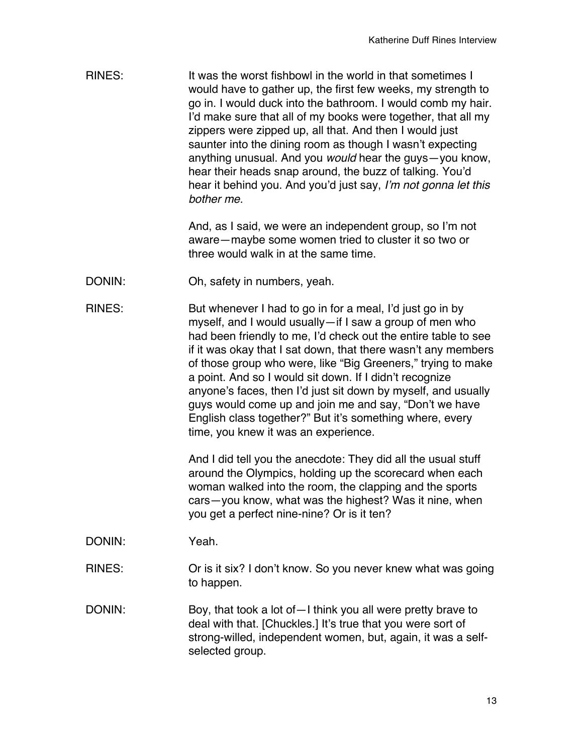RINES: It was the worst fishbowl in the world in that sometimes I would have to gather up, the first few weeks, my strength to go in. I would duck into the bathroom. I would comb my hair. I'd make sure that all of my books were together, that all my zippers were zipped up, all that. And then I would just saunter into the dining room as though I wasn't expecting anything unusual. And you *would* hear the guys—you know, hear their heads snap around, the buzz of talking. You'd hear it behind you. And you'd just say, *I'm not gonna let this bother me.*

> And, as I said, we were an independent group, so I'm not aware—maybe some women tried to cluster it so two or three would walk in at the same time.

- DONIN: Oh, safety in numbers, yeah.
- RINES: But whenever I had to go in for a meal, I'd just go in by myself, and I would usually—if I saw a group of men who had been friendly to me, I'd check out the entire table to see if it was okay that I sat down, that there wasn't any members of those group who were, like "Big Greeners," trying to make a point. And so I would sit down. If I didn't recognize anyone's faces, then I'd just sit down by myself, and usually guys would come up and join me and say, "Don't we have English class together?" But it's something where, every time, you knew it was an experience.

And I did tell you the anecdote: They did all the usual stuff around the Olympics, holding up the scorecard when each woman walked into the room, the clapping and the sports cars—you know, what was the highest? Was it nine, when you get a perfect nine-nine? Or is it ten?

- DONIN: Yeah.
- RINES: Or is it six? I don't know. So you never knew what was going to happen.
- DONIN: Boy, that took a lot of I think you all were pretty brave to deal with that. [Chuckles.] It's true that you were sort of strong-willed, independent women, but, again, it was a selfselected group.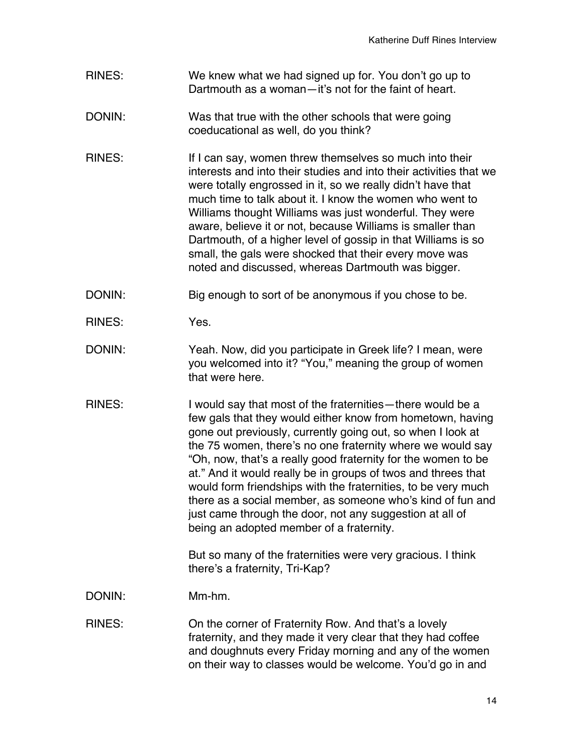- RINES: We knew what we had signed up for. You don't go up to Dartmouth as a woman—it's not for the faint of heart.
- DONIN: Was that true with the other schools that were going coeducational as well, do you think?
- RINES: If I can say, women threw themselves so much into their interests and into their studies and into their activities that we were totally engrossed in it, so we really didn't have that much time to talk about it. I know the women who went to Williams thought Williams was just wonderful. They were aware, believe it or not, because Williams is smaller than Dartmouth, of a higher level of gossip in that Williams is so small, the gals were shocked that their every move was noted and discussed, whereas Dartmouth was bigger.
- DONIN: Big enough to sort of be anonymous if you chose to be.
- RINES: Yes.
- DONIN: Yeah. Now, did you participate in Greek life? I mean, were you welcomed into it? "You," meaning the group of women that were here.
- RINES: I would say that most of the fraternities—there would be a few gals that they would either know from hometown, having gone out previously, currently going out, so when I look at the 75 women, there's no one fraternity where we would say "Oh, now, that's a really good fraternity for the women to be at." And it would really be in groups of twos and threes that would form friendships with the fraternities, to be very much there as a social member, as someone who's kind of fun and just came through the door, not any suggestion at all of being an adopted member of a fraternity.

But so many of the fraternities were very gracious. I think there's a fraternity, Tri-Kap?

DONIN: Mm-hm.

RINES: On the corner of Fraternity Row. And that's a lovely fraternity, and they made it very clear that they had coffee and doughnuts every Friday morning and any of the women on their way to classes would be welcome. You'd go in and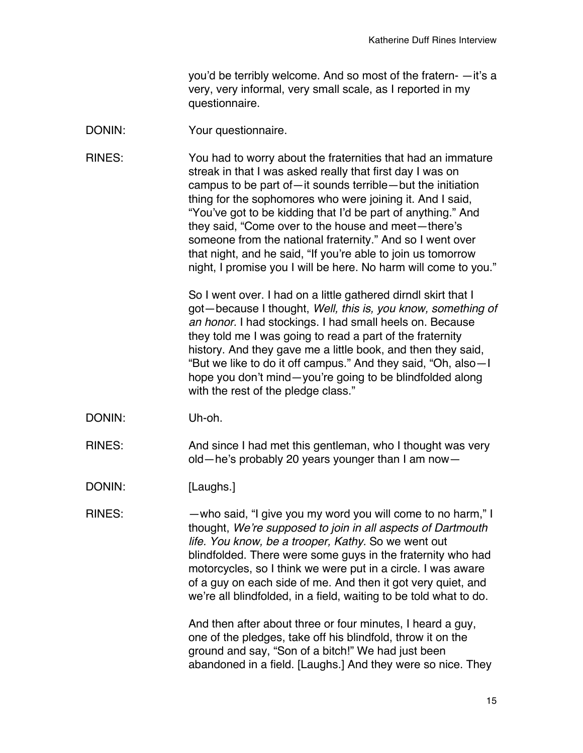you'd be terribly welcome. And so most of the fratern- —it's a very, very informal, very small scale, as I reported in my questionnaire.

DONIN: Your questionnaire.

RINES: You had to worry about the fraternities that had an immature streak in that I was asked really that first day I was on campus to be part of—it sounds terrible—but the initiation thing for the sophomores who were joining it. And I said, "You've got to be kidding that I'd be part of anything." And they said, "Come over to the house and meet—there's someone from the national fraternity." And so I went over that night, and he said, "If you're able to join us tomorrow night, I promise you I will be here. No harm will come to you."

> So I went over. I had on a little gathered dirndl skirt that I got—because I thought, *Well, this is, you know, something of an honor.* I had stockings. I had small heels on. Because they told me I was going to read a part of the fraternity history. And they gave me a little book, and then they said, "But we like to do it off campus." And they said, "Oh, also—I hope you don't mind—you're going to be blindfolded along with the rest of the pledge class."

DONIN: Uh-oh.

RINES: And since I had met this gentleman, who I thought was very old—he's probably 20 years younger than I am now—

DONIN: [Laughs.]

RINES: —who said, "I give you my word you will come to no harm," I thought, *We're supposed to join in all aspects of Dartmouth life. You know, be a trooper, Kathy.* So we went out blindfolded. There were some guys in the fraternity who had motorcycles, so I think we were put in a circle. I was aware of a guy on each side of me. And then it got very quiet, and we're all blindfolded, in a field, waiting to be told what to do.

> And then after about three or four minutes, I heard a guy, one of the pledges, take off his blindfold, throw it on the ground and say, "Son of a bitch!" We had just been abandoned in a field. [Laughs.] And they were so nice. They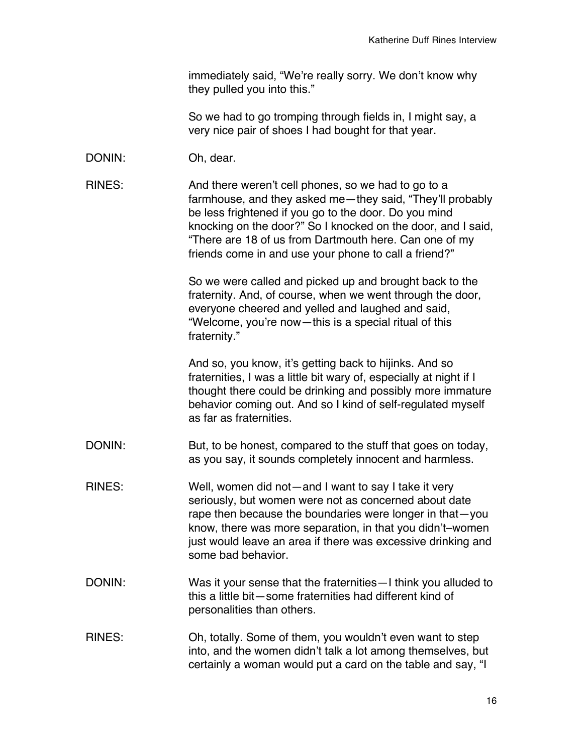immediately said, "We're really sorry. We don't know why they pulled you into this."

So we had to go tromping through fields in, I might say, a very nice pair of shoes I had bought for that year.

- DONIN: Oh, dear.
- RINES: And there weren't cell phones, so we had to go to a farmhouse, and they asked me—they said, "They'll probably be less frightened if you go to the door. Do you mind knocking on the door?" So I knocked on the door, and I said, "There are 18 of us from Dartmouth here. Can one of my friends come in and use your phone to call a friend?"

So we were called and picked up and brought back to the fraternity. And, of course, when we went through the door, everyone cheered and yelled and laughed and said, "Welcome, you're now—this is a special ritual of this fraternity."

And so, you know, it's getting back to hijinks. And so fraternities, I was a little bit wary of, especially at night if I thought there could be drinking and possibly more immature behavior coming out. And so I kind of self-regulated myself as far as fraternities.

- DONIN: But, to be honest, compared to the stuff that goes on today, as you say, it sounds completely innocent and harmless.
- RINES: Well, women did not—and I want to say I take it very seriously, but women were not as concerned about date rape then because the boundaries were longer in that—you know, there was more separation, in that you didn't–women just would leave an area if there was excessive drinking and some bad behavior.
- DONIN: Was it your sense that the fraternities—I think you alluded to this a little bit—some fraternities had different kind of personalities than others.
- RINES: Oh, totally. Some of them, you wouldn't even want to step into, and the women didn't talk a lot among themselves, but certainly a woman would put a card on the table and say, "I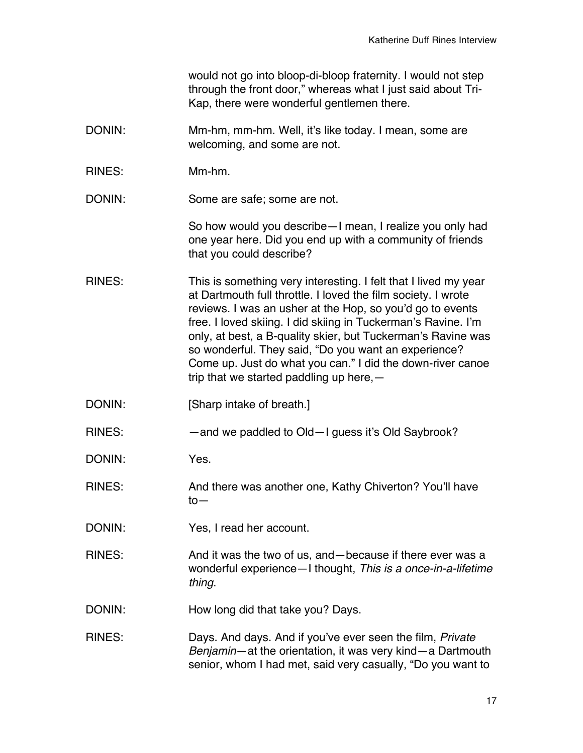would not go into bloop-di-bloop fraternity. I would not step through the front door," whereas what I just said about Tri-Kap, there were wonderful gentlemen there.

- DONIN: Mm-hm, mm-hm. Well, it's like today. I mean, some are welcoming, and some are not.
- RINES: Mm-hm.

DONIN: Some are safe; some are not.

So how would you describe—I mean, I realize you only had one year here. Did you end up with a community of friends that you could describe?

- RINES: This is something very interesting. I felt that I lived my year at Dartmouth full throttle. I loved the film society. I wrote reviews. I was an usher at the Hop, so you'd go to events free. I loved skiing. I did skiing in Tuckerman's Ravine. I'm only, at best, a B-quality skier, but Tuckerman's Ravine was so wonderful. They said, "Do you want an experience? Come up. Just do what you can." I did the down-river canoe trip that we started paddling up here,—
- DONIN: [Sharp intake of breath.]
- RINES: — and we paddled to Old—I guess it's Old Saybrook?
- DONIN: Yes.
- RINES: And there was another one, Kathy Chiverton? You'll have to—
- DONIN: Yes, I read her account.
- RINES: And it was the two of us, and because if there ever was a wonderful experience—I thought, *This is a once-in-a-lifetime thing*.
- DONIN: How long did that take you? Days.
- RINES: Days. And days. And if you've ever seen the film, *Private Benjamin*—at the orientation, it was very kind—a Dartmouth senior, whom I had met, said very casually, "Do you want to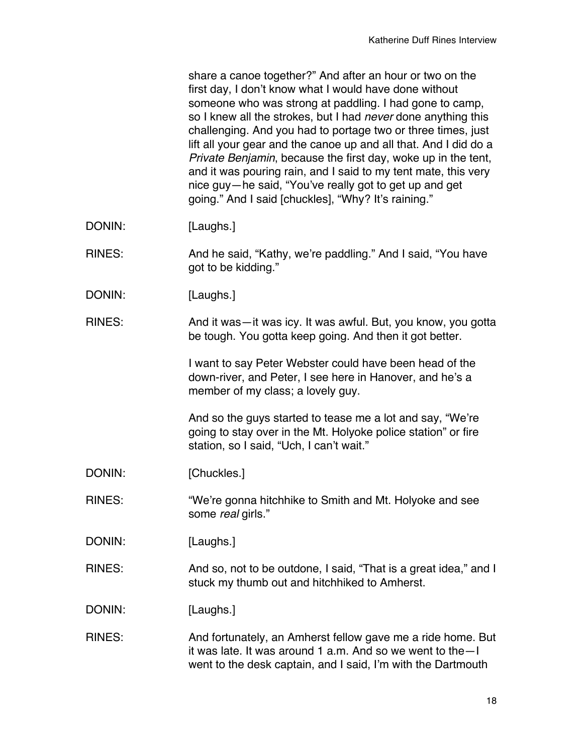|               | share a canoe together?" And after an hour or two on the<br>first day, I don't know what I would have done without<br>someone who was strong at paddling. I had gone to camp,<br>so I knew all the strokes, but I had <i>never</i> done anything this<br>challenging. And you had to portage two or three times, just<br>lift all your gear and the canoe up and all that. And I did do a<br>Private Benjamin, because the first day, woke up in the tent,<br>and it was pouring rain, and I said to my tent mate, this very<br>nice guy—he said, "You've really got to get up and get<br>going." And I said [chuckles], "Why? It's raining." |
|---------------|-----------------------------------------------------------------------------------------------------------------------------------------------------------------------------------------------------------------------------------------------------------------------------------------------------------------------------------------------------------------------------------------------------------------------------------------------------------------------------------------------------------------------------------------------------------------------------------------------------------------------------------------------|
| DONIN:        | [Laughs.]                                                                                                                                                                                                                                                                                                                                                                                                                                                                                                                                                                                                                                     |
| <b>RINES:</b> | And he said, "Kathy, we're paddling." And I said, "You have<br>got to be kidding."                                                                                                                                                                                                                                                                                                                                                                                                                                                                                                                                                            |
| DONIN:        | [Laughs.]                                                                                                                                                                                                                                                                                                                                                                                                                                                                                                                                                                                                                                     |
| <b>RINES:</b> | And it was-it was icy. It was awful. But, you know, you gotta<br>be tough. You gotta keep going. And then it got better.                                                                                                                                                                                                                                                                                                                                                                                                                                                                                                                      |
|               | I want to say Peter Webster could have been head of the<br>down-river, and Peter, I see here in Hanover, and he's a<br>member of my class; a lovely guy.                                                                                                                                                                                                                                                                                                                                                                                                                                                                                      |
|               | And so the guys started to tease me a lot and say, "We're<br>going to stay over in the Mt. Holyoke police station" or fire<br>station, so I said, "Uch, I can't wait."                                                                                                                                                                                                                                                                                                                                                                                                                                                                        |
| DONIN:        | [Chuckles.]                                                                                                                                                                                                                                                                                                                                                                                                                                                                                                                                                                                                                                   |
| <b>RINES:</b> | "We're gonna hitchhike to Smith and Mt. Holyoke and see<br>some real girls."                                                                                                                                                                                                                                                                                                                                                                                                                                                                                                                                                                  |
| DONIN:        | [Laughs.]                                                                                                                                                                                                                                                                                                                                                                                                                                                                                                                                                                                                                                     |
| <b>RINES:</b> | And so, not to be outdone, I said, "That is a great idea," and I<br>stuck my thumb out and hitchhiked to Amherst.                                                                                                                                                                                                                                                                                                                                                                                                                                                                                                                             |
| DONIN:        | [Laughs.]                                                                                                                                                                                                                                                                                                                                                                                                                                                                                                                                                                                                                                     |
| <b>RINES:</b> | And fortunately, an Amherst fellow gave me a ride home. But<br>it was late. It was around 1 a.m. And so we went to the-I<br>went to the desk captain, and I said, I'm with the Dartmouth                                                                                                                                                                                                                                                                                                                                                                                                                                                      |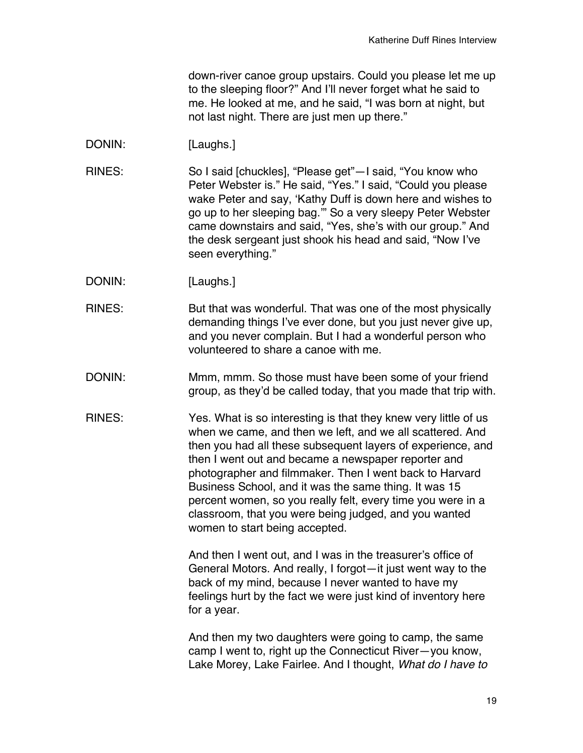down-river canoe group upstairs. Could you please let me up to the sleeping floor?" And I'll never forget what he said to me. He looked at me, and he said, "I was born at night, but not last night. There are just men up there."

- DONIN: [Laughs.]
- RINES: So I said [chuckles], "Please get"—I said, "You know who Peter Webster is." He said, "Yes." I said, "Could you please wake Peter and say, 'Kathy Duff is down here and wishes to go up to her sleeping bag.'" So a very sleepy Peter Webster came downstairs and said, "Yes, she's with our group." And the desk sergeant just shook his head and said, "Now I've seen everything."
- DONIN: [Laughs.]
- RINES: But that was wonderful. That was one of the most physically demanding things I've ever done, but you just never give up, and you never complain. But I had a wonderful person who volunteered to share a canoe with me.
- DONIN: Mmm, mmm. So those must have been some of your friend group, as they'd be called today, that you made that trip with.
- RINES: Yes. What is so interesting is that they knew very little of us when we came, and then we left, and we all scattered. And then you had all these subsequent layers of experience, and then I went out and became a newspaper reporter and photographer and filmmaker. Then I went back to Harvard Business School, and it was the same thing. It was 15 percent women, so you really felt, every time you were in a classroom, that you were being judged, and you wanted women to start being accepted.

And then I went out, and I was in the treasurer's office of General Motors. And really, I forgot—it just went way to the back of my mind, because I never wanted to have my feelings hurt by the fact we were just kind of inventory here for a year.

And then my two daughters were going to camp, the same camp I went to, right up the Connecticut River—you know, Lake Morey, Lake Fairlee. And I thought, *What do I have to*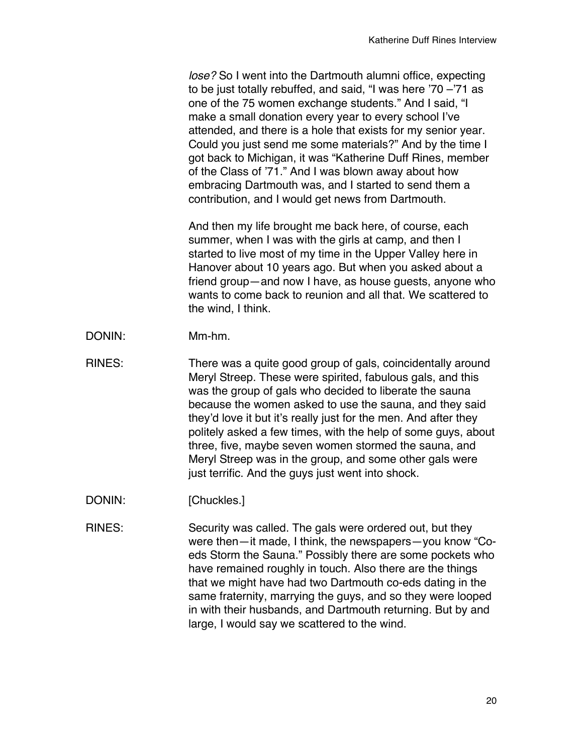*lose?* So I went into the Dartmouth alumni office, expecting to be just totally rebuffed, and said, "I was here '70 –'71 as one of the 75 women exchange students." And I said, "I make a small donation every year to every school I've attended, and there is a hole that exists for my senior year. Could you just send me some materials?" And by the time I got back to Michigan, it was "Katherine Duff Rines, member of the Class of '71." And I was blown away about how embracing Dartmouth was, and I started to send them a contribution, and I would get news from Dartmouth.

And then my life brought me back here, of course, each summer, when I was with the girls at camp, and then I started to live most of my time in the Upper Valley here in Hanover about 10 years ago. But when you asked about a friend group—and now I have, as house guests, anyone who wants to come back to reunion and all that. We scattered to the wind, I think.

- DONIN: Mm-hm.
- RINES: There was a quite good group of gals, coincidentally around Meryl Streep. These were spirited, fabulous gals, and this was the group of gals who decided to liberate the sauna because the women asked to use the sauna, and they said they'd love it but it's really just for the men. And after they politely asked a few times, with the help of some guys, about three, five, maybe seven women stormed the sauna, and Meryl Streep was in the group, and some other gals were just terrific. And the guys just went into shock.
- DONIN: [Chuckles.]
- RINES: Security was called. The gals were ordered out, but they were then—it made, I think, the newspapers—you know "Coeds Storm the Sauna." Possibly there are some pockets who have remained roughly in touch. Also there are the things that we might have had two Dartmouth co-eds dating in the same fraternity, marrying the guys, and so they were looped in with their husbands, and Dartmouth returning. But by and large, I would say we scattered to the wind.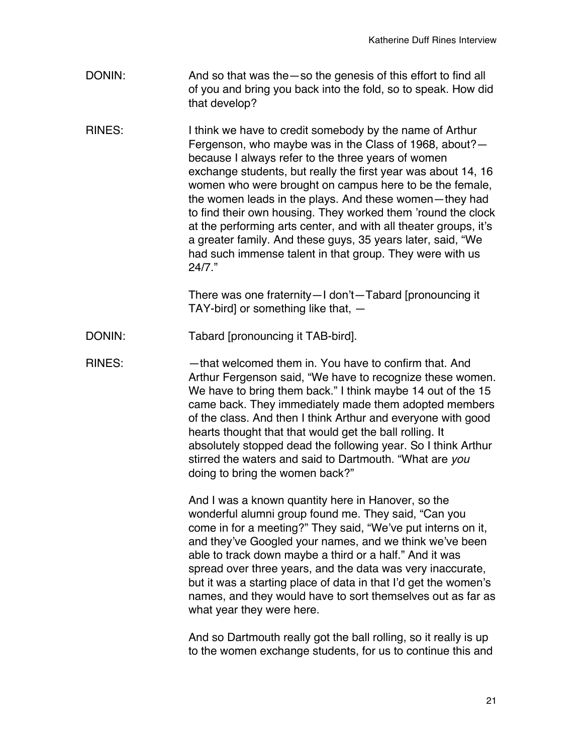- DONIN: And so that was the —so the genesis of this effort to find all of you and bring you back into the fold, so to speak. How did that develop?
- RINES: I think we have to credit somebody by the name of Arthur Fergenson, who maybe was in the Class of 1968, about? because I always refer to the three years of women exchange students, but really the first year was about 14, 16 women who were brought on campus here to be the female, the women leads in the plays. And these women—they had to find their own housing. They worked them 'round the clock at the performing arts center, and with all theater groups, it's a greater family. And these guys, 35 years later, said, "We had such immense talent in that group. They were with us 24/7."

There was one fraternity—I don't—Tabard [pronouncing it TAY-bird] or something like that, —

- DONIN: Tabard [pronouncing it TAB-bird].
- RINES: — that welcomed them in. You have to confirm that. And Arthur Fergenson said, "We have to recognize these women. We have to bring them back." I think maybe 14 out of the 15 came back. They immediately made them adopted members of the class. And then I think Arthur and everyone with good hearts thought that that would get the ball rolling. It absolutely stopped dead the following year. So I think Arthur stirred the waters and said to Dartmouth. "What are *you* doing to bring the women back?"

And I was a known quantity here in Hanover, so the wonderful alumni group found me. They said, "Can you come in for a meeting?" They said, "We've put interns on it, and they've Googled your names, and we think we've been able to track down maybe a third or a half." And it was spread over three years, and the data was very inaccurate, but it was a starting place of data in that I'd get the women's names, and they would have to sort themselves out as far as what year they were here.

And so Dartmouth really got the ball rolling, so it really is up to the women exchange students, for us to continue this and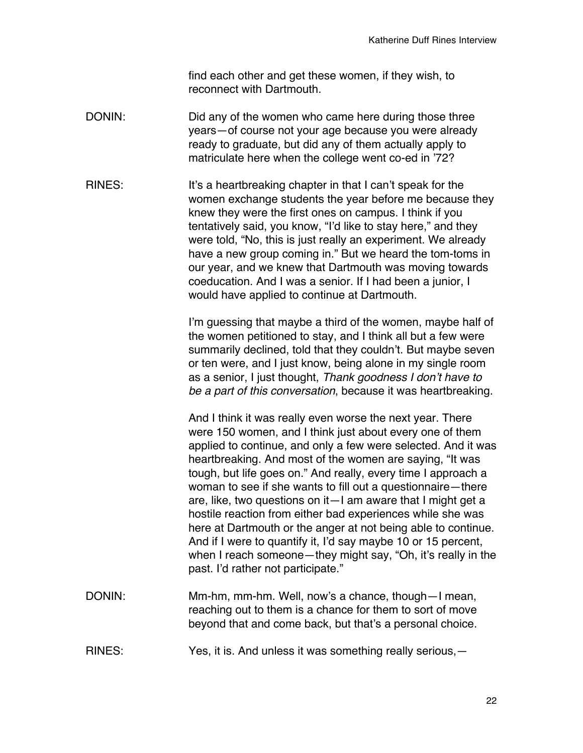find each other and get these women, if they wish, to reconnect with Dartmouth.

- DONIN: DONIN: Did any of the women who came here during those three years—of course not your age because you were already ready to graduate, but did any of them actually apply to matriculate here when the college went co-ed in '72?
- RINES: It's a heartbreaking chapter in that I can't speak for the women exchange students the year before me because they knew they were the first ones on campus. I think if you tentatively said, you know, "I'd like to stay here," and they were told, "No, this is just really an experiment. We already have a new group coming in." But we heard the tom-toms in our year, and we knew that Dartmouth was moving towards coeducation. And I was a senior. If I had been a junior, I would have applied to continue at Dartmouth.

I'm guessing that maybe a third of the women, maybe half of the women petitioned to stay, and I think all but a few were summarily declined, told that they couldn't. But maybe seven or ten were, and I just know, being alone in my single room as a senior, I just thought, *Thank goodness I don't have to be a part of this conversation*, because it was heartbreaking.

And I think it was really even worse the next year. There were 150 women, and I think just about every one of them applied to continue, and only a few were selected. And it was heartbreaking. And most of the women are saying, "It was tough, but life goes on." And really, every time I approach a woman to see if she wants to fill out a questionnaire—there are, like, two questions on it—I am aware that I might get a hostile reaction from either bad experiences while she was here at Dartmouth or the anger at not being able to continue. And if I were to quantify it, I'd say maybe 10 or 15 percent, when I reach someone—they might say, "Oh, it's really in the past. I'd rather not participate."

- DONIN: Mm-hm, mm-hm. Well, now's a chance, though—I mean, reaching out to them is a chance for them to sort of move beyond that and come back, but that's a personal choice.
- RINES: Yes, it is. And unless it was something really serious, -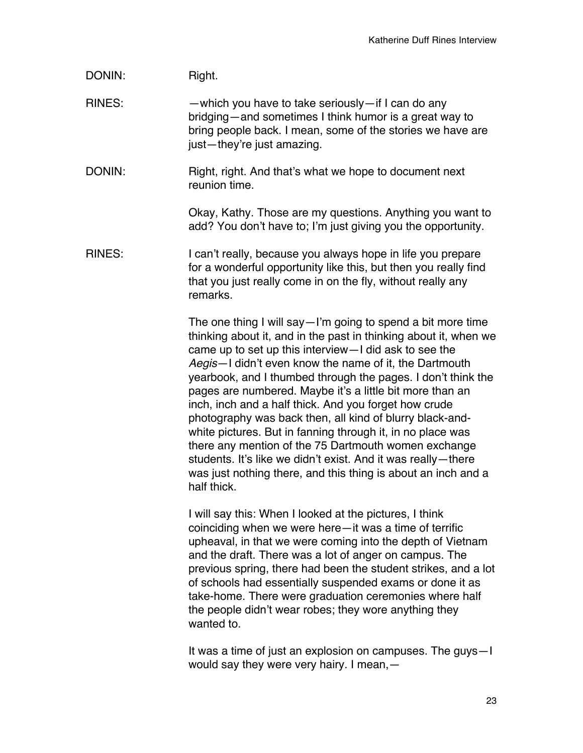## DONIN: Right.

RINES: —which you have to take seriously—if I can do any bridging—and sometimes I think humor is a great way to bring people back. I mean, some of the stories we have are just—they're just amazing.

DONIN: Right, right. And that's what we hope to document next reunion time.

> Okay, Kathy. Those are my questions. Anything you want to add? You don't have to; I'm just giving you the opportunity.

RINES: I can't really, because you always hope in life you prepare for a wonderful opportunity like this, but then you really find that you just really come in on the fly, without really any remarks.

> The one thing I will say—I'm going to spend a bit more time thinking about it, and in the past in thinking about it, when we came up to set up this interview—I did ask to see the *Aegis*—I didn't even know the name of it, the Dartmouth yearbook, and I thumbed through the pages. I don't think the pages are numbered. Maybe it's a little bit more than an inch, inch and a half thick. And you forget how crude photography was back then, all kind of blurry black-andwhite pictures. But in fanning through it, in no place was there any mention of the 75 Dartmouth women exchange students. It's like we didn't exist. And it was really—there was just nothing there, and this thing is about an inch and a half thick.

> I will say this: When I looked at the pictures, I think coinciding when we were here—it was a time of terrific upheaval, in that we were coming into the depth of Vietnam and the draft. There was a lot of anger on campus. The previous spring, there had been the student strikes, and a lot of schools had essentially suspended exams or done it as take-home. There were graduation ceremonies where half the people didn't wear robes; they wore anything they wanted to.

> It was a time of just an explosion on campuses. The guys—I would say they were very hairy. I mean,—